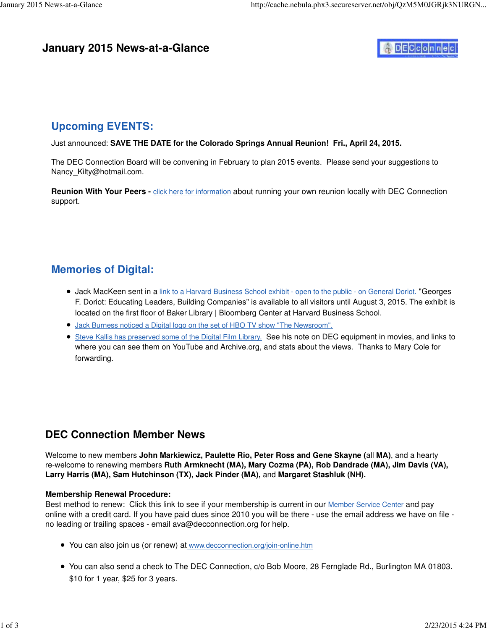#### **January 2015 News-at-a-Glance**

# DECconnec

### **Upcoming EVENTS:**

Just announced: **SAVE THE DATE for the Colorado Springs Annual Reunion! Fri., April 24, 2015.**

The DEC Connection Board will be convening in February to plan 2015 events. Please send your suggestions to Nancy\_[Kilty@hotmail.com.](mailto:Kilty@hotmail.com)

**Reunion With Your Peers -** click here for information about running your own reunion locally with DEC Connection support.

### **Memories of Digital:**

- Jack MacKeen sent in a link to a Harvard Business School exhibit open to the public on General Doriot. "Georges F. Doriot: Educating Leaders, Building Companies" is available to all visitors until August 3, 2015. The exhibit is located on the first floor of Baker Library | Bloomberg Center at Harvard Business School.
- Jack Burness noticed a Digital logo on the set of HBO TV show "The Newsroom".
- **Steve Kallis has preserved some of the Digital Film Library.** See his note on DEC equipment in movies, and links to where you can see them on YouTube and Archive.org, and stats about the views. Thanks to Mary Cole for forwarding.

### **DEC Connection Member News**

Welcome to new members **John Markiewicz, Paulette Rio, Peter Ross and Gene Skayne (**all **MA)**, and a hearty re-welcome to renewing members **Ruth Armknecht (MA), Mary Cozma (PA), Rob Dandrade (MA), Jim Davis (VA), Larry Harris (MA), Sam Hutchinson (TX), Jack Pinder (MA),** and **Margaret Stashluk (NH).**

#### **Membership Renewal Procedure:**

Best method to renew: Click this link to see if your membership is current in our Member Service Center and pay online with a credit card. If you have paid dues since 2010 you will be there - use the email address we have on file no leading or trailing spaces - email [ava@decconnection.org fo](mailto:ava@decconnection.org)r help.

- You can also join us (or renew) at [www.decconnection.org/join-online.htm](http://www.decconnection.org/join-online.htm)
- You can also send a check to The DEC Connection, c/o Bob Moore, 28 Fernglade Rd., Burlington MA 01803. \$10 for 1 year, \$25 for 3 years.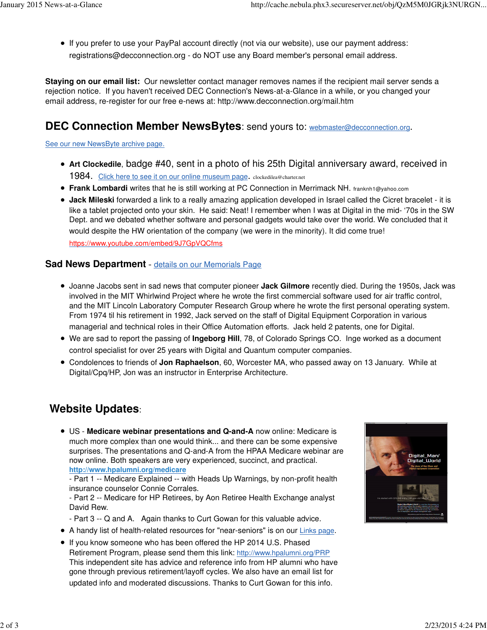If you prefer to use your PayPal account directly (not via our website), use our payment address: [registrations@decconnection.org - d](mailto:registrations@decconnection.org)o NOT use any Board member's personal email address.

**Staying on our email list:** Our newsletter contact manager removes names if the recipient mail server sends a rejection notice. If you haven't received DEC Connection's News-at-a-Glance in a while, or you changed your email address, re-register for our free e-news at: <http://www.decconnection.org/mail.htm>

# **DEC Connection Member NewsBytes**: send yours to: [webmaster@decconnection.org](mailto:webmaster@decconnection.org).

#### See our new NewsByte archive page.

- **Art Clockedile**, badge #40, sent in a photo of his 25th Digital anniversary award, received in 1984. Click here to see it on our online museum page. [clockedilea@charter.net](mailto:clockedilea@charter.net)
- **Frank Lombardi** writes that he is still working at PC Connection in Merrimack NH. [franknh1@yahoo.com](mailto:franknh1@yahoo.com)
- **Jack Mileski** forwarded a link to a really amazing application developed in Israel called the Cicret bracelet it is like a tablet projected onto your skin. He said: Neat! I remember when I was at Digital in the mid- '70s in the SW Dept. and we debated whether software and personal gadgets would take over the world. We concluded that it would despite the HW orientation of the company (we were in the minority). It did come true! <https://www.youtube.com/embed/9J7GpVQCfms>

#### **Sad News Department** - details on our Memorials Page

- Joanne Jacobs sent in sad news that computer pioneer **Jack Gilmore** recently died. During the 1950s, Jack was involved in the MIT Whirlwind Project where he wrote the first commercial software used for air traffic control, and the MIT Lincoln Laboratory Computer Research Group where he wrote the first personal operating system. From 1974 til his retirement in 1992, Jack served on the staff of Digital Equipment Corporation in various managerial and technical roles in their Office Automation efforts. Jack held 2 patents, one for Digital.
- We are sad to report the passing of **Ingeborg Hill**, 78, of Colorado Springs CO. Inge worked as a document control specialist for over 25 years with Digital and Quantum computer companies.
- Condolences to friends of **Jon Raphaelson**, 60, Worcester MA, who passed away on 13 January. While at Digital/Cpq/HP, Jon was an instructor in Enterprise Architecture.

# **Website Updates**:

US - **Medicare webinar presentations and Q-and-A** now online: Medicare is much more complex than one would think... and there can be some expensive surprises. The presentations and Q-and-A from the HPAA Medicare webinar are now online. Both speakers are very experienced, succinct, and practical. **<http://www.hpalumni.org/medicare>**

- Part 1 -- Medicare Explained -- with Heads Up Warnings, by non-profit health insurance counselor Connie Corrales.

- Part 2 -- Medicare for HP Retirees, by Aon Retiree Health Exchange analyst David Rew.
- Part 3 -- Q and A. Again thanks to Curt Gowan for this valuable advice.
- A handy list of health-related resources for "near-seniors" is on our Links page.
- If you know someone who has been offered the HP 2014 U.S. Phased Retirement Program, please send them this link: <http://www.hpalumni.org/PRP> This independent site has advice and reference info from HP alumni who have gone through previous retirement/layoff cycles. We also have an email list for updated info and moderated discussions. Thanks to Curt Gowan for this info.